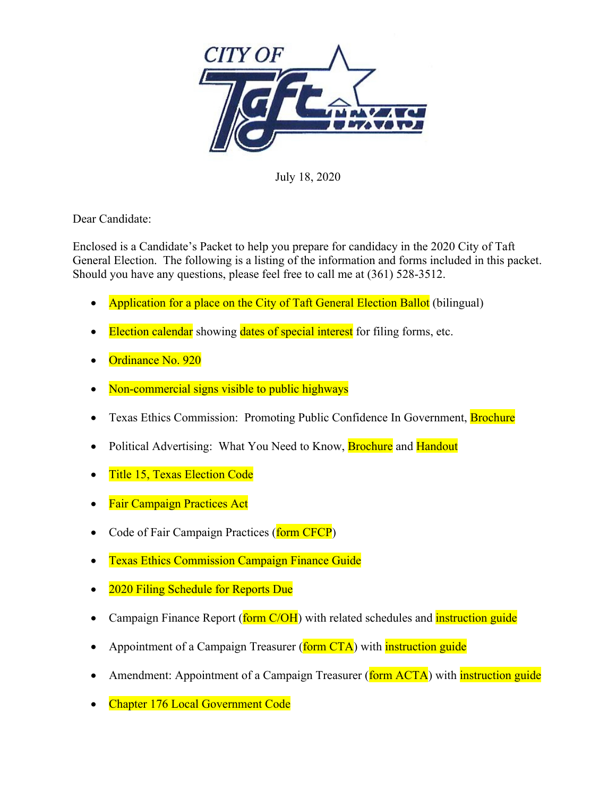

July 18, 2020

Dear Candidate:

Enclosed is a Candidate's Packet to help you prepare for candidacy in the 2020 City of Taft General Election. The following is a listing of the information and forms included in this packet. Should you have any questions, please feel free to call me at (361) 528-3512.

- Application for a place on the City of Taft General Election Ballot (bilingual)
- Election calendar showing dates of special interest for filing forms, etc.
- Ordinance No. 920
- Non-commercial signs visible to public highways
- Texas Ethics Commission: Promoting Public Confidence In Government, Brochure
- Political Advertising: What You Need to Know, **Brochure** and **Handout**
- Title 15, Texas Election Code
- **Fair Campaign Practices Act**
- Code of Fair Campaign Practices (form CFCP)
- Texas Ethics Commission Campaign Finance Guide
- 2020 Filing Schedule for Reports Due
- Campaign Finance Report (form C/OH) with related schedules and *instruction guide*
- Appointment of a Campaign Treasurer (form CTA) with instruction guide
- Amendment: Appointment of a Campaign Treasurer (form ACTA) with *instruction guide*
- Chapter 176 Local Government Code